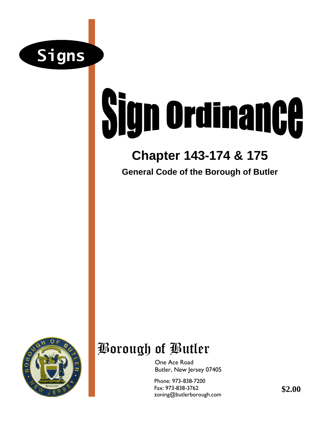

# **Sign Ordinance**

### **Chapter 143-174 & 175**

**General Code of the Borough of Butler**



## Borough of Butler

One Ace Road Butler, New Jersey 07405

Phone: 973-838-7200 Fax: 973-838-3762 zoning@butlerborough.com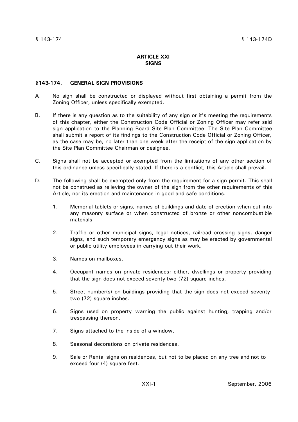#### **ARTICLE XXI SIGNS**

#### **§143-174. GENERAL SIGN PROVISIONS**

- A. No sign shall be constructed or displayed without first obtaining a permit from the Zoning Officer, unless specifically exempted.
- B. If there is any question as to the suitability of any sign or it's meeting the requirements of this chapter, either the Construction Code Official or Zoning Officer may refer said sign application to the Planning Board Site Plan Committee. The Site Plan Committee shall submit a report of its findings to the Construction Code Official or Zoning Officer, as the case may be, no later than one week after the receipt of the sign application by the Site Plan Committee Chairman or designee.
- C. Signs shall not be accepted or exempted from the limitations of any other section of this ordinance unless specifically stated. If there is a conflict, this Article shall prevail.
- D. The following shall be exempted only from the requirement for a sign permit. This shall not be construed as relieving the owner of the sign from the other requirements of this Article, nor its erection and maintenance in good and safe conditions.
	- 1. Memorial tablets or signs, names of buildings and date of erection when cut into any masonry surface or when constructed of bronze or other noncombustible materials.
	- 2. Traffic or other municipal signs, legal notices, railroad crossing signs, danger signs, and such temporary emergency signs as may be erected by governmental or public utility employees in carrying out their work.
	- 3. Names on mailboxes.
	- 4. Occupant names on private residences; either, dwellings or property providing that the sign does not exceed seventy-two (72) square inches.
	- 5. Street number(s) on buildings providing that the sign does not exceed seventytwo (72) square inches.
	- 6. Signs used on property warning the public against hunting, trapping and/or trespassing thereon.
	- 7. Signs attached to the inside of a window.
	- 8. Seasonal decorations on private residences.
	- 9. Sale or Rental signs on residences, but not to be placed on any tree and not to exceed four (4) square feet.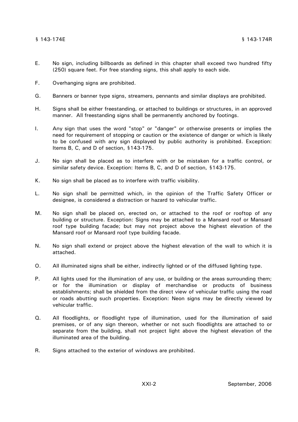#### § 143-174E § 143-174R

- E. No sign, including billboards as defined in this chapter shall exceed two hundred fifty (250) square feet. For free standing signs, this shall apply to each side.
- F. Overhanging signs are prohibited.
- G. Banners or banner type signs, streamers, pennants and similar displays are prohibited.
- H. Signs shall be either freestanding, or attached to buildings or structures, in an approved manner. All freestanding signs shall be permanently anchored by footings.
- I. Any sign that uses the word "stop" or "danger" or otherwise presents or implies the need for requirement of stopping or caution or the existence of danger or which is likely to be confused with any sign displayed by public authority is prohibited. Exception: Items B, C, and D of section, §143-175.
- J. No sign shall be placed as to interfere with or be mistaken for a traffic control, or similar safety device. Exception: Items B, C, and D of section, §143-175.
- K. No sign shall be placed as to interfere with traffic visibility.
- L. No sign shall be permitted which, in the opinion of the Traffic Safety Officer or designee, is considered a distraction or hazard to vehicular traffic.
- M. No sign shall be placed on, erected on, or attached to the roof or rooftop of any building or structure. Exception: Signs may be attached to a Mansard roof or Mansard roof type building facade; but may not project above the highest elevation of the Mansard roof or Mansard roof type building facade.
- N. No sign shall extend or project above the highest elevation of the wall to which it is attached.
- O. All illuminated signs shall be either, indirectly lighted or of the diffused lighting type.
- P. All lights used for the illumination of any use, or building or the areas surrounding them; or for the illumination or display of merchandise or products of business establishments; shall be shielded from the direct view of vehicular traffic using the road or roads abutting such properties. Exception: Neon signs may be directly viewed by vehicular traffic.
- Q. All floodlights, or floodlight type of illumination, used for the illumination of said premises, or of any sign thereon, whether or not such floodlights are attached to or separate from the building, shall not project light above the highest elevation of the illuminated area of the building.
- R. Signs attached to the exterior of windows are prohibited.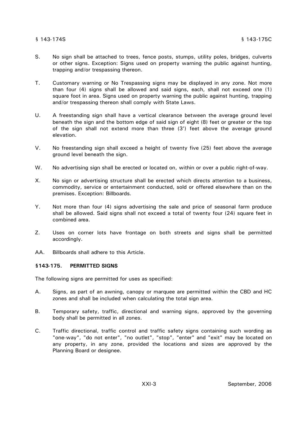- S. No sign shall be attached to trees, fence posts, stumps, utility poles, bridges, culverts or other signs. Exception: Signs used on property warning the public against hunting, trapping and/or trespassing thereon.
- T. Customary warning or No Trespassing signs may be displayed in any zone. Not more than four (4) signs shall be allowed and said signs, each, shall not exceed one (1) square foot in area. Signs used on property warning the public against hunting, trapping and/or trespassing thereon shall comply with State Laws.
- U. A freestanding sign shall have a vertical clearance between the average ground level beneath the sign and the bottom edge of said sign of eight (8) feet or greater or the top of the sign shall not extend more than three (3') feet above the average ground elevation.
- V. No freestanding sign shall exceed a height of twenty five (25) feet above the average ground level beneath the sign.
- W. No advertising sign shall be erected or located on, within or over a public right-of-way.
- X. No sign or advertising structure shall be erected which directs attention to a business, commodity, service or entertainment conducted, sold or offered elsewhere than on the premises. Exception: Billboards*.*
- Y. Not more than four (4) signs advertising the sale and price of seasonal farm produce shall be allowed. Said signs shall not exceed a total of twenty four (24) square feet in combined area.
- Z. Uses on corner lots have frontage on both streets and signs shall be permitted accordingly.
- AA. Billboards shall adhere to this Article.

#### **§143-175. PERMITTED SIGNS**

The following signs are permitted for uses as specified:

- A. Signs, as part of an awning, canopy or marquee are permitted within the CBD and HC zones and shall be included when calculating the total sign area.
- B. Temporary safety, traffic, directional and warning signs, approved by the governing body shall be permitted in all zones.
- C. Traffic directional, traffic control and traffic safety signs containing such wording as "one-way", "do not enter", "no outlet", "stop", "enter" and "exit" may be located on any property, in any zone, provided the locations and sizes are approved by the Planning Board or designee.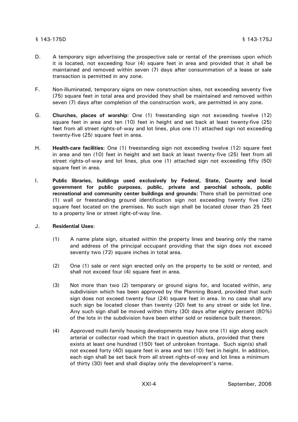#### § 143-175D § 143-175J

- D. A temporary sign advertising the prospective sale or rental of the premises upon which it is located, not exceeding four (4) square feet in area and provided that it shall be maintained and removed within seven (7) days after consummation of a lease or sale transaction is permitted in any zone.
- F. Non-illuminated, temporary signs on new construction sites, not exceeding seventy five (75) square feet in total area and provided they shall be maintained and removed within seven (7) days after completion of the construction work, are permitted in any zone.
- G. **Churches, places of worship**: One (1) freestanding sign not exceeding twelve (12) square feet in area and ten (10) feet in height and set back at least twenty-five (25) feet from all street rights-of-way and lot lines, plus one (1) attached sign not exceeding twenty-five (25) square feet in area.
- H. **Health-care facilities**: One (1) freestanding sign not exceeding twelve (12) square feet in area and ten (10) feet in height and set back at least twenty-five (25) feet from all street rights-of-way and lot lines, plus one (1) attached sign not exceeding fifty (50) square feet in area.
- I. **Public libraries, buildings used exclusively by Federal, State, County and local government for public purposes, public, private and parochial schools, public recreational and community center buildings and grounds:** There shall be permitted one (1) wall or freestanding ground identification sign not exceeding twenty five (25) square feet located on the premises. No such sign shall be located closer than 25 feet to a property line or street right-of-way line.

#### J. **Residential Uses**:

- (1) A name plate sign, situated within the property lines and bearing only the name and address of the principal occupant providing that the sign does not exceed seventy two (72) square inches in total area.
- (2) One (1) sale or rent sign erected only on the property to be sold or rented, and shall not exceed four (4) square feet in area.
- (3) Not more than two (2) temporary or ground signs for, and located within, any subdivision which has been approved by the Planning Board, provided that such sign does not exceed twenty four (24) square feet in area. In no case shall any such sign be located closer than twenty (20) feet to any street or side lot line. Any such sign shall be moved within thirty (30) days after eighty percent (80%) of the lots in the subdivision have been either sold or residence built thereon.
- (4) Approved multi-family housing developments may have one (1) sign along each arterial or collector road which the tract in question abuts, provided that there exists at least one hundred (150) feet of unbroken frontage. Such sign(s) shall not exceed forty (40) square feet in area and ten (10) feet in height. In addition, each sign shall be set back from all street rights-of-way and lot lines a minimum of thirty (30) feet and shall display only the development's name.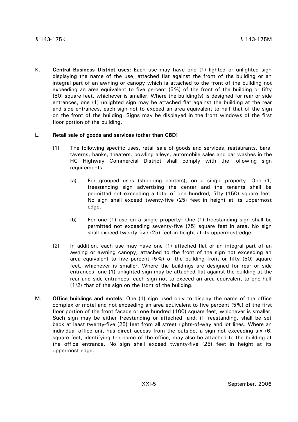K. **Central Business District uses:** Each use may have one (1) lighted or unlighted sign displaying the name of the use, attached flat against the front of the building or an integral part of an awning or canopy which is attached to the front of the building not exceeding an area equivalent to five percent (5%) of the front of the building or fifty (50) square feet, whichever is smaller. Where the building(s) is designed for rear or side entrances, one (1) unlighted sign may be attached flat against the building at the rear and side entrances, each sign not to exceed an area equivalent to half that of the sign on the front of the building. Signs may be displayed in the front windows of the first floor portion of the building.

#### L. **Retail sale of goods and services (other than CBD)**

- (1) The following specific uses, retail sale of goods and services, restaurants, bars, taverns, banks, theaters, bowling alleys, automobile sales and car washes in the HC Highway Commercial District shall comply with the following sign requirements.
	- (a) For grouped uses (shopping centers), on a single property: One (1) freestanding sign advertising the center and the tenants shall be permitted not exceeding a total of one hundred, fifty (150) square feet. No sign shall exceed twenty-five (25) feet in height at its uppermost edge.
	- (b) For one (1) use on a single property: One (1) freestanding sign shall be permitted not exceeding seventy-five (75) square feet in area. No sign shall exceed twenty-five (25) feet in height at its uppermost edge.
- (2) In addition, each use may have one (1) attached flat or an integral part of an awning or awning canopy, attached to the front of the sign not exceeding an area equivalent to five percent (5%) of the building front or fifty (50) square feet, whichever is smaller. Where the buildings are designed for rear or side entrances, one (1) unlighted sign may be attached flat against the building at the rear and side entrances, each sign not to exceed an area equivalent to one half (1/2) that of the sign on the front of the building.
- M. **Office buildings and motels:** One (1) sign used only to display the name of the office complex or motel and not exceeding an area equivalent to five percent (5%) of the first floor portion of the front facade or one hundred (100) square feet, whichever is smaller. Such sign may be either freestanding or attached, and, if freestanding, shall be set back at least twenty-five (25) feet from all street rights-of-way and lot lines. Where an individual office unit has direct access from the outside, a sign not exceeding six (6) square feet, identifying the name of the office, may also be attached to the building at the office entrance. No sign shall exceed twenty-five (25) feet in height at its uppermost edge.